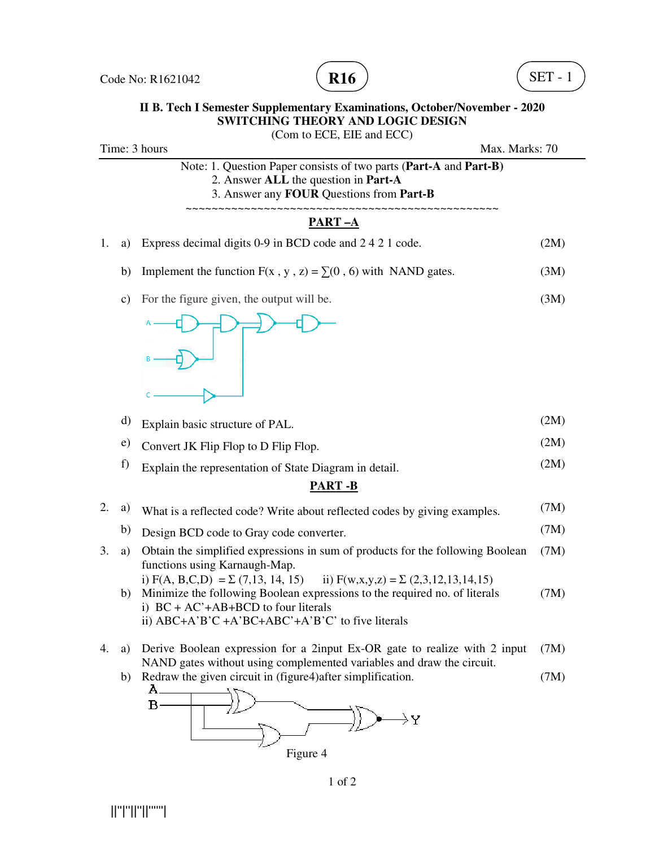



## **II B. Tech I Semester Supplementary Examinations, October/November - 2020 SWITCHING THEORY AND LOGIC DESIGN**

(Com to ECE, EIE and ECC) Time: 3 hours Max. Marks: 70 Note: 1. Question Paper consists of two parts (**Part-A** and **Part-B)** 2. Answer **ALL** the question in **Part-A** 3. Answer any **FOUR** Questions from **Part-B** ~~~~~~~~~~~~~~~~~~~~~~~~~~~~~~~~~~~~~~~~~~~~~~~~ **PART –A** 1. a) Express decimal digits 0-9 in BCD code and 2 4 2 1 code. (2M) b) Implement the function  $F(x, y, z) = \sum (0, 6)$  with NAND gates. (3M) c) For the figure given, the output will be. (3M) d) Explain basic structure of PAL. (2M) e) Convert JK Flip Flop to D Flip Flop. (2M) f) Explain the representation of State Diagram in detail. (2M) **PART -B** 2. a) What is a reflected code? Write about reflected codes by giving examples.  $(7M)$ b) Design BCD code to Gray code converter. (7M) (7M) functions using Karnaugh-Map. i) F(A, B,C,D) =  $\Sigma$  (7,13, 14, 15) ii) F(w,x,y,z) =  $\Sigma$  (2,3,12,13,14,15) b) Minimize the following Boolean expressions to the required no. of literals (7M) i)  $BC + AC' + AB + BCD$  to four literals ii) ABC+A'B'C +A'BC+ABC'+A'B'C' to five literals (7M) NAND gates without using complemented variables and draw the circuit. b) Redraw the given circuit in (figure4)after simplification. (7M) A.  $B -$ 

- 
- 3. a) Obtain the simplified expressions in sum of products for the following Boolean 4. a) Derive Boolean expression for a 2input Ex-OR gate to realize with 2 input
-